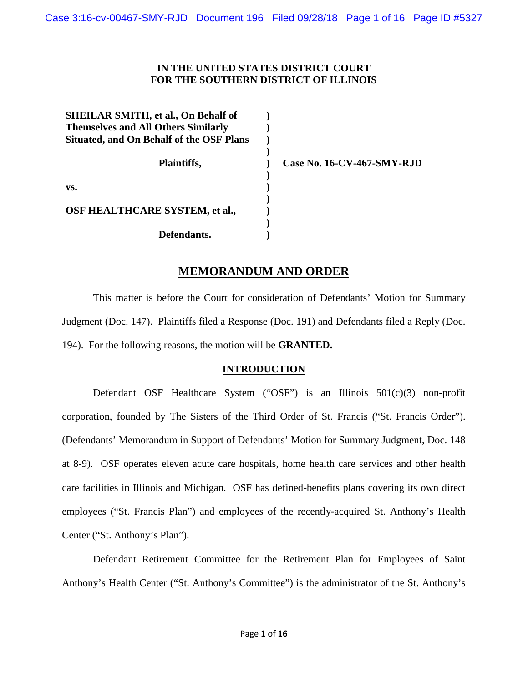## **IN THE UNITED STATES DISTRICT COURT FOR THE SOUTHERN DISTRICT OF ILLINOIS**

| <b>SHEILAR SMITH, et al., On Behalf of</b><br><b>Themselves and All Others Similarly</b><br><b>Situated, and On Behalf of the OSF Plans</b> |  |
|---------------------------------------------------------------------------------------------------------------------------------------------|--|
| Plaintiffs,                                                                                                                                 |  |
| VS.                                                                                                                                         |  |
| OSF HEALTHCARE SYSTEM, et al.,                                                                                                              |  |
| Defendants.                                                                                                                                 |  |

**Case No. 16-CV-467-SMY-RJD**

## **MEMORANDUM AND ORDER**

This matter is before the Court for consideration of Defendants' Motion for Summary Judgment (Doc. 147). Plaintiffs filed a Response (Doc. 191) and Defendants filed a Reply (Doc. 194). For the following reasons, the motion will be **GRANTED.**

## **INTRODUCTION**

Defendant OSF Healthcare System ("OSF") is an Illinois 501(c)(3) non-profit corporation, founded by The Sisters of the Third Order of St. Francis ("St. Francis Order"). (Defendants' Memorandum in Support of Defendants' Motion for Summary Judgment, Doc. 148 at 8-9). OSF operates eleven acute care hospitals, home health care services and other health care facilities in Illinois and Michigan. OSF has defined-benefits plans covering its own direct employees ("St. Francis Plan") and employees of the recently-acquired St. Anthony's Health Center ("St. Anthony's Plan").

Defendant Retirement Committee for the Retirement Plan for Employees of Saint Anthony's Health Center ("St. Anthony's Committee") is the administrator of the St. Anthony's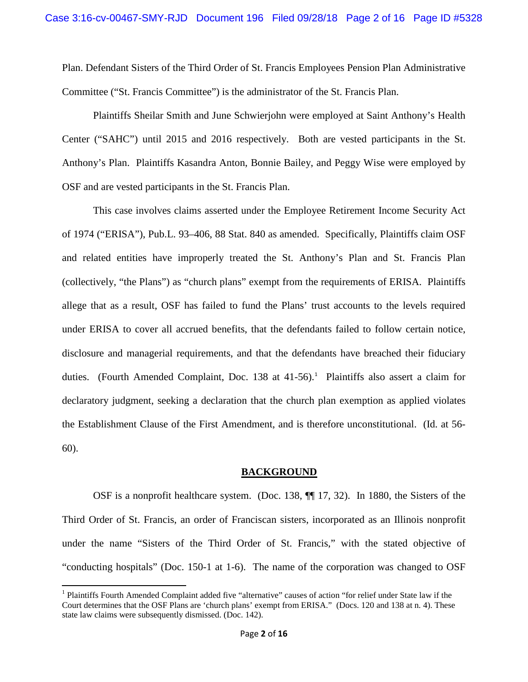Plan. Defendant Sisters of the Third Order of St. Francis Employees Pension Plan Administrative Committee ("St. Francis Committee") is the administrator of the St. Francis Plan.

Plaintiffs Sheilar Smith and June Schwierjohn were employed at Saint Anthony's Health Center ("SAHC") until 2015 and 2016 respectively. Both are vested participants in the St. Anthony's Plan. Plaintiffs Kasandra Anton, Bonnie Bailey, and Peggy Wise were employed by OSF and are vested participants in the St. Francis Plan.

This case involves claims asserted under the Employee Retirement Income Security Act of 1974 ("ERISA"), Pub.L. 93–406, 88 Stat. 840 as amended. Specifically, Plaintiffs claim OSF and related entities have improperly treated the St. Anthony's Plan and St. Francis Plan (collectively, "the Plans") as "church plans" exempt from the requirements of ERISA. Plaintiffs allege that as a result, OSF has failed to fund the Plans' trust accounts to the levels required under ERISA to cover all accrued benefits, that the defendants failed to follow certain notice, disclosure and managerial requirements, and that the defendants have breached their fiduciary duties. (Fourth Amended Complaint, Doc. [1](#page-1-0)38 at  $41-56$ ).<sup>1</sup> Plaintiffs also assert a claim for declaratory judgment, seeking a declaration that the church plan exemption as applied violates the Establishment Clause of the First Amendment, and is therefore unconstitutional. (Id. at 56- 60).

### **BACKGROUND**

OSF is a nonprofit healthcare system. (Doc. 138, ¶¶ 17, 32). In 1880, the Sisters of the Third Order of St. Francis, an order of Franciscan sisters, incorporated as an Illinois nonprofit under the name "Sisters of the Third Order of St. Francis," with the stated objective of "conducting hospitals" (Doc. 150-1 at 1-6). The name of the corporation was changed to OSF

<span id="page-1-0"></span><sup>&</sup>lt;sup>1</sup> Plaintiffs Fourth Amended Complaint added five "alternative" causes of action "for relief under State law if the Court determines that the OSF Plans are 'church plans' exempt from ERISA." (Docs. 120 and 138 at n. 4). These state law claims were subsequently dismissed. (Doc. 142).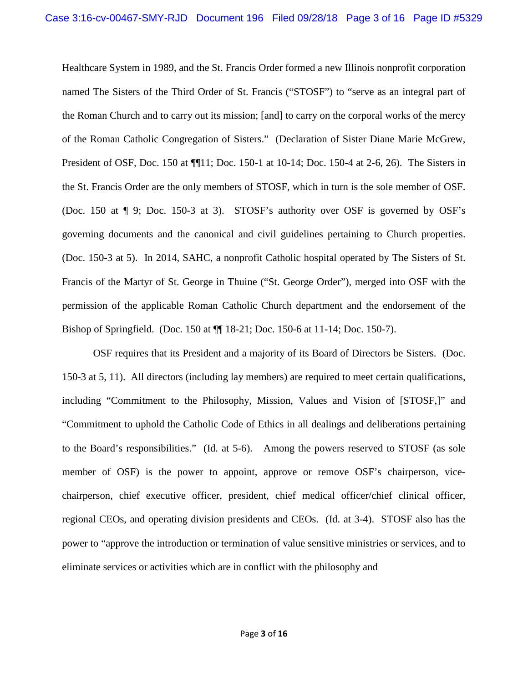Healthcare System in 1989, and the St. Francis Order formed a new Illinois nonprofit corporation named The Sisters of the Third Order of St. Francis ("STOSF") to "serve as an integral part of the Roman Church and to carry out its mission; [and] to carry on the corporal works of the mercy of the Roman Catholic Congregation of Sisters." (Declaration of Sister Diane Marie McGrew, President of OSF, Doc. 150 at ¶¶11; Doc. 150-1 at 10-14; Doc. 150-4 at 2-6, 26). The Sisters in the St. Francis Order are the only members of STOSF, which in turn is the sole member of OSF. (Doc. 150 at ¶ 9; Doc. 150-3 at 3). STOSF's authority over OSF is governed by OSF's governing documents and the canonical and civil guidelines pertaining to Church properties. (Doc. 150-3 at 5). In 2014, SAHC, a nonprofit Catholic hospital operated by The Sisters of St. Francis of the Martyr of St. George in Thuine ("St. George Order"), merged into OSF with the permission of the applicable Roman Catholic Church department and the endorsement of the Bishop of Springfield. (Doc. 150 at ¶¶ 18-21; Doc. 150-6 at 11-14; Doc. 150-7).

OSF requires that its President and a majority of its Board of Directors be Sisters. (Doc. 150-3 at 5, 11). All directors (including lay members) are required to meet certain qualifications, including "Commitment to the Philosophy, Mission, Values and Vision of [STOSF,]" and "Commitment to uphold the Catholic Code of Ethics in all dealings and deliberations pertaining to the Board's responsibilities." (Id. at 5-6). Among the powers reserved to STOSF (as sole member of OSF) is the power to appoint, approve or remove OSF's chairperson, vicechairperson, chief executive officer, president, chief medical officer/chief clinical officer, regional CEOs, and operating division presidents and CEOs. (Id. at 3-4). STOSF also has the power to "approve the introduction or termination of value sensitive ministries or services, and to eliminate services or activities which are in conflict with the philosophy and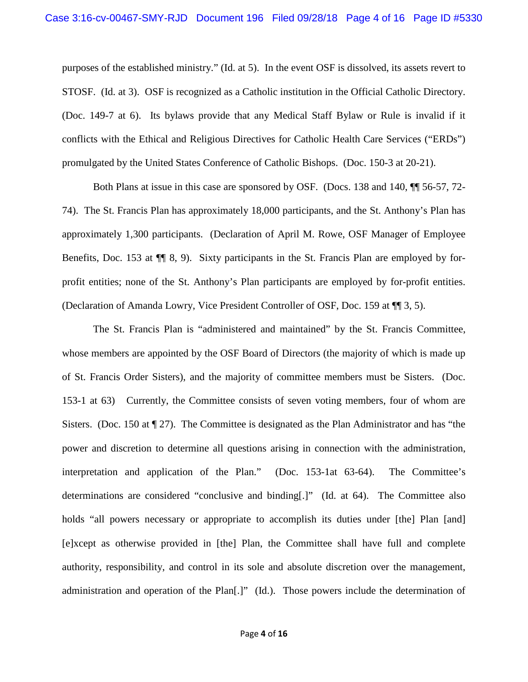purposes of the established ministry." (Id. at 5). In the event OSF is dissolved, its assets revert to STOSF. (Id. at 3). OSF is recognized as a Catholic institution in the Official Catholic Directory. (Doc. 149-7 at 6). Its bylaws provide that any Medical Staff Bylaw or Rule is invalid if it conflicts with the Ethical and Religious Directives for Catholic Health Care Services ("ERDs") promulgated by the United States Conference of Catholic Bishops. (Doc. 150-3 at 20-21).

Both Plans at issue in this case are sponsored by OSF. (Docs. 138 and 140, ¶¶ 56-57, 72- 74). The St. Francis Plan has approximately 18,000 participants, and the St. Anthony's Plan has approximately 1,300 participants. (Declaration of April M. Rowe, OSF Manager of Employee Benefits, Doc. 153 at ¶¶ 8, 9). Sixty participants in the St. Francis Plan are employed by forprofit entities; none of the St. Anthony's Plan participants are employed by for-profit entities. (Declaration of Amanda Lowry, Vice President Controller of OSF, Doc. 159 at ¶¶ 3, 5).

The St. Francis Plan is "administered and maintained" by the St. Francis Committee, whose members are appointed by the OSF Board of Directors (the majority of which is made up of St. Francis Order Sisters), and the majority of committee members must be Sisters. (Doc. 153-1 at 63) Currently, the Committee consists of seven voting members, four of whom are Sisters. (Doc. 150 at  $\P$  27). The Committee is designated as the Plan Administrator and has "the power and discretion to determine all questions arising in connection with the administration, interpretation and application of the Plan." (Doc. 153-1at 63-64). The Committee's determinations are considered "conclusive and binding[.]" (Id. at 64). The Committee also holds "all powers necessary or appropriate to accomplish its duties under [the] Plan [and] [e]xcept as otherwise provided in [the] Plan, the Committee shall have full and complete authority, responsibility, and control in its sole and absolute discretion over the management, administration and operation of the Plan[.]" (Id.). Those powers include the determination of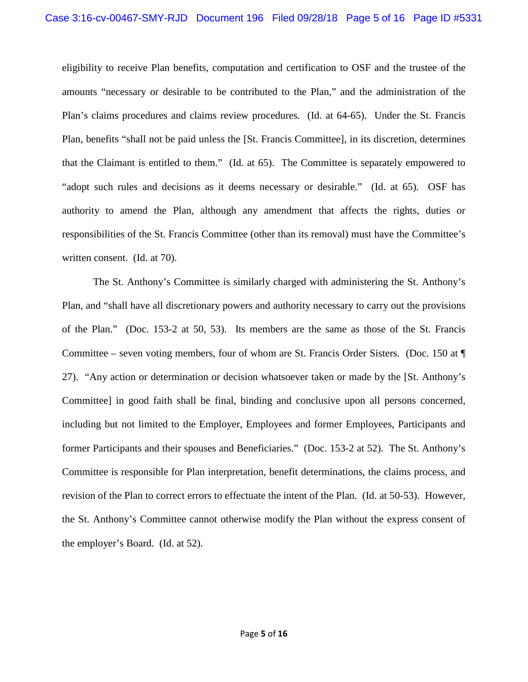eligibility to receive Plan benefits, computation and certification to OSF and the trustee of the amounts "necessary or desirable to be contributed to the Plan," and the administration of the Plan's claims procedures and claims review procedures. (Id. at 64-65). Under the St. Francis Plan, benefits "shall not be paid unless the [St. Francis Committee], in its discretion, determines that the Claimant is entitled to them." (Id. at 65). The Committee is separately empowered to "adopt such rules and decisions as it deems necessary or desirable." (Id. at 65). OSF has authority to amend the Plan, although any amendment that affects the rights, duties or responsibilities of the St. Francis Committee (other than its removal) must have the Committee's written consent. (Id. at 70).

The St. Anthony's Committee is similarly charged with administering the St. Anthony's Plan, and "shall have all discretionary powers and authority necessary to carry out the provisions of the Plan." (Doc. 153-2 at 50, 53). Its members are the same as those of the St. Francis Committee – seven voting members, four of whom are St. Francis Order Sisters. (Doc. 150 at ¶ 27). "Any action or determination or decision whatsoever taken or made by the [St. Anthony's Committee] in good faith shall be final, binding and conclusive upon all persons concerned, including but not limited to the Employer, Employees and former Employees, Participants and former Participants and their spouses and Beneficiaries." (Doc. 153-2 at 52). The St. Anthony's Committee is responsible for Plan interpretation, benefit determinations, the claims process, and revision of the Plan to correct errors to effectuate the intent of the Plan. (Id. at 50-53). However, the St. Anthony's Committee cannot otherwise modify the Plan without the express consent of the employer's Board. (Id. at 52).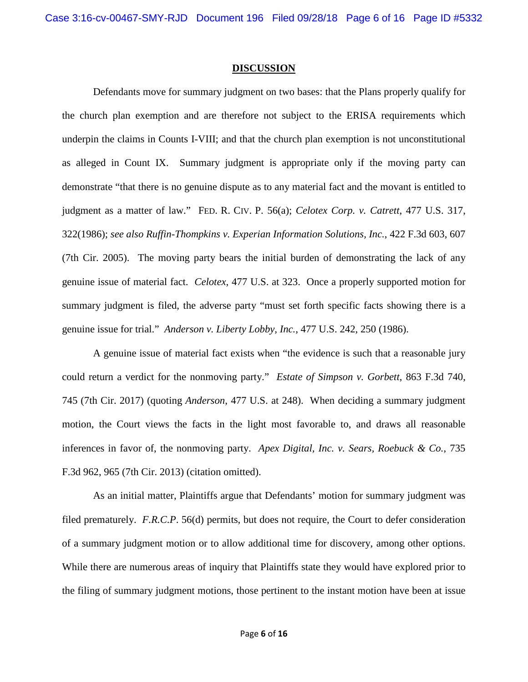#### **DISCUSSION**

Defendants move for summary judgment on two bases: that the Plans properly qualify for the church plan exemption and are therefore not subject to the ERISA requirements which underpin the claims in Counts I-VIII; and that the church plan exemption is not unconstitutional as alleged in Count IX. Summary judgment is appropriate only if the moving party can demonstrate "that there is no genuine dispute as to any material fact and the movant is entitled to judgment as a matter of law." FED. R. CIV. P. 56(a); *Celotex Corp. v. Catrett*, 477 U.S. 317, 322(1986); *see also Ruffin-Thompkins v. Experian Information Solutions, Inc.*, 422 F.3d 603, 607 (7th Cir. 2005). The moving party bears the initial burden of demonstrating the lack of any genuine issue of material fact. *Celotex*, 477 U.S. at 323. Once a properly supported motion for summary judgment is filed, the adverse party "must set forth specific facts showing there is a genuine issue for trial." *Anderson v. Liberty Lobby, Inc.*, 477 U.S. 242, 250 (1986).

A genuine issue of material fact exists when "the evidence is such that a reasonable jury could return a verdict for the nonmoving party." *Estate of Simpson v. Gorbett*, 863 F.3d 740, 745 (7th Cir. 2017) (quoting *Anderson*, 477 U.S. at 248). When deciding a summary judgment motion, the Court views the facts in the light most favorable to, and draws all reasonable inferences in favor of, the nonmoving party. *Apex Digital, Inc. v. Sears, Roebuck & Co.*, 735 F.3d 962, 965 (7th Cir. 2013) (citation omitted).

As an initial matter, Plaintiffs argue that Defendants' motion for summary judgment was filed prematurely. *F.R.C.P*. 56(d) permits, but does not require, the Court to defer consideration of a summary judgment motion or to allow additional time for discovery, among other options. While there are numerous areas of inquiry that Plaintiffs state they would have explored prior to the filing of summary judgment motions, those pertinent to the instant motion have been at issue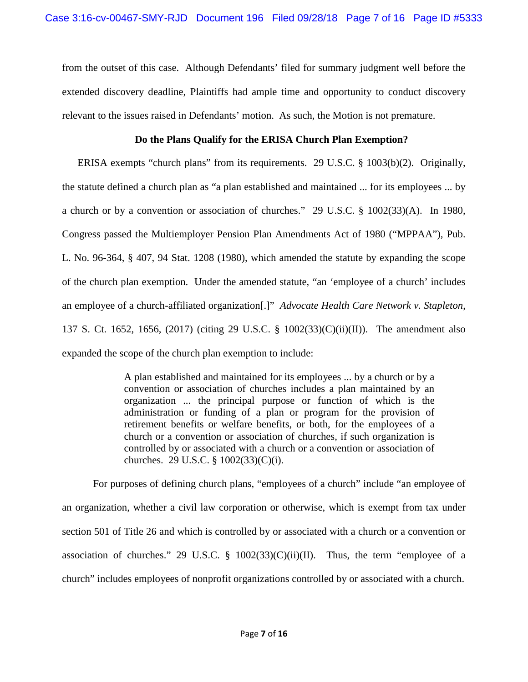from the outset of this case. Although Defendants' filed for summary judgment well before the extended discovery deadline, Plaintiffs had ample time and opportunity to conduct discovery relevant to the issues raised in Defendants' motion. As such, the Motion is not premature.

## **Do the Plans Qualify for the ERISA Church Plan Exemption?**

ERISA exempts "church plans" from its requirements. 29 U.S.C. § 1003(b)(2). Originally, the statute defined a church plan as "a plan established and maintained ... for its employees ... by a church or by a convention or association of churches." 29 U.S.C. § 1002(33)(A). In 1980, Congress passed the Multiemployer Pension Plan Amendments Act of 1980 ("MPPAA"), Pub. L. No. 96-364, § 407, 94 Stat. 1208 (1980), which amended the statute by expanding the scope of the church plan exemption. Under the amended statute, "an 'employee of a church' includes an employee of a church-affiliated organization[.]" *Advocate Health Care Network v. Stapleton*, 137 S. Ct. 1652, 1656, (2017) (citing 29 U.S.C. § 1002(33)(C)(ii)(II)). The amendment also expanded the scope of the church plan exemption to include:

> A plan established and maintained for its employees ... by a church or by a convention or association of churches includes a plan maintained by an organization ... the principal purpose or function of which is the administration or funding of a plan or program for the provision of retirement benefits or welfare benefits, or both, for the employees of a church or a convention or association of churches, if such organization is controlled by or associated with a church or a convention or association of churches. 29 U.S.C. § 1002(33)(C)(i).

For purposes of defining church plans, "employees of a church" include "an employee of an organization, whether a civil law corporation or otherwise, which is exempt from tax under section 501 of Title 26 and which is controlled by or associated with a church or a convention or association of churches." 29 U.S.C.  $\S$  1002(33)(C)(ii)(II). Thus, the term "employee of a church" includes employees of nonprofit organizations controlled by or associated with a church.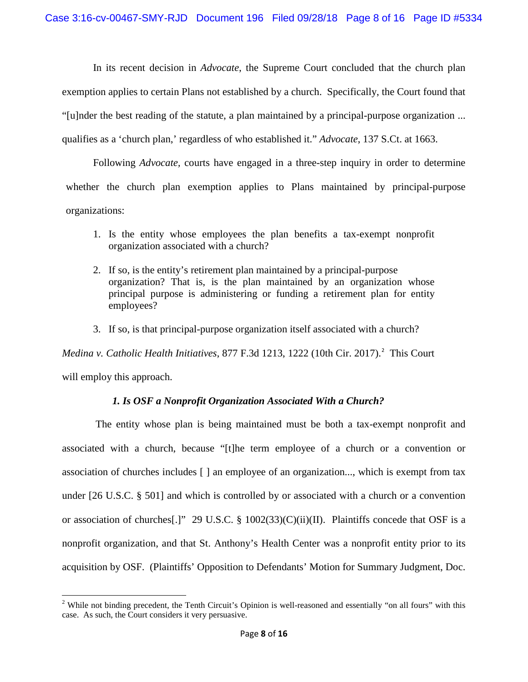In its recent decision in *Advocate*, the Supreme Court concluded that the church plan exemption applies to certain Plans not established by a church. Specifically, the Court found that "[u]nder the best reading of the statute, a plan maintained by a principal-purpose organization ... qualifies as a 'church plan,' regardless of who established it." *Advocate*, 137 S.Ct. at 1663.

Following *Advocate*, courts have engaged in a three-step inquiry in order to determine whether the church plan exemption applies to Plans maintained by principal-purpose organizations:

- 1. Is the entity whose employees the plan benefits a tax-exempt nonprofit organization associated with a church?
- 2. If so, is the entity's retirement plan maintained by a principal-purpose organization? That is, is the plan maintained by an organization whose principal purpose is administering or funding a retirement plan for entity employees?
- 3. If so, is that principal-purpose organization itself associated with a church?

Medina v. Catholic Health Initiatives, 877 F.3d 1[2](#page-7-0)13, 1222 (10th Cir. 2017).<sup>2</sup> This Court will employ this approach.

# *1. Is OSF a Nonprofit Organization Associated With a Church?*

The entity whose plan is being maintained must be both a tax-exempt nonprofit and associated with a church, because "[t]he term employee of a church or a convention or association of churches includes [ ] an employee of an organization..., which is exempt from tax under [26 U.S.C. § 501] and which is controlled by or associated with a church or a convention or association of churches[.]" 29 U.S.C. §  $1002(33)(C)(ii)(II)$ . Plaintiffs concede that OSF is a nonprofit organization, and that St. Anthony's Health Center was a nonprofit entity prior to its acquisition by OSF. (Plaintiffs' Opposition to Defendants' Motion for Summary Judgment, Doc.

<span id="page-7-0"></span><sup>&</sup>lt;sup>2</sup> While not binding precedent, the Tenth Circuit's Opinion is well-reasoned and essentially "on all fours" with this case. As such, the Court considers it very persuasive.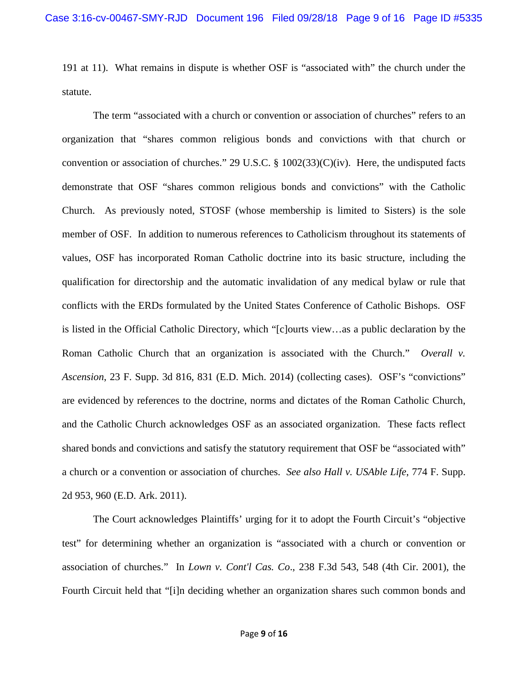191 at 11). What remains in dispute is whether OSF is "associated with" the church under the statute.

The term "associated with a church or convention or association of churches" refers to an organization that "shares common religious bonds and convictions with that church or convention or association of churches." 29 U.S.C. § 1002(33)(C)(iv). Here, the undisputed facts demonstrate that OSF "shares common religious bonds and convictions" with the Catholic Church. As previously noted, STOSF (whose membership is limited to Sisters) is the sole member of OSF. In addition to numerous references to Catholicism throughout its statements of values, OSF has incorporated Roman Catholic doctrine into its basic structure, including the qualification for directorship and the automatic invalidation of any medical bylaw or rule that conflicts with the ERDs formulated by the United States Conference of Catholic Bishops. OSF is listed in the Official Catholic Directory, which "[c]ourts view…as a public declaration by the Roman Catholic Church that an organization is associated with the Church." *Overall v. Ascension*, 23 F. Supp. 3d 816, 831 (E.D. Mich. 2014) (collecting cases). OSF's "convictions" are evidenced by references to the doctrine, norms and dictates of the Roman Catholic Church, and the Catholic Church acknowledges OSF as an associated organization. These facts reflect shared bonds and convictions and satisfy the statutory requirement that OSF be "associated with" a church or a convention or association of churches. *See also Hall v. USAble Life*, 774 F. Supp. 2d 953, 960 (E.D. Ark. 2011).

The Court acknowledges Plaintiffs' urging for it to adopt the Fourth Circuit's "objective test" for determining whether an organization is "associated with a church or convention or association of churches." In *Lown v. Cont'l Cas. Co*., 238 F.3d 543, 548 (4th Cir. 2001), the Fourth Circuit held that "[i]n deciding whether an organization shares such common bonds and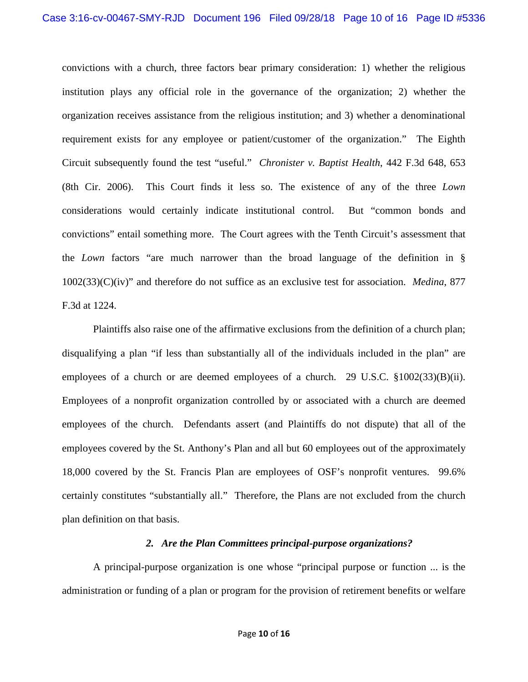convictions with a church, three factors bear primary consideration: 1) whether the religious institution plays any official role in the governance of the organization; 2) whether the organization receives assistance from the religious institution; and 3) whether a denominational requirement exists for any employee or patient/customer of the organization." The Eighth Circuit subsequently found the test "useful." *Chronister v. Baptist Health*, 442 F.3d 648, 653 (8th Cir. 2006). This Court finds it less so. The existence of any of the three *Lown* considerations would certainly indicate institutional control. But "common bonds and convictions" entail something more. The Court agrees with the Tenth Circuit's assessment that the *Lown* factors "are much narrower than the broad language of the definition in § 1002(33)(C)(iv)" and therefore do not suffice as an exclusive test for association. *Medina*, 877 F.3d at 1224.

Plaintiffs also raise one of the affirmative exclusions from the definition of a church plan; disqualifying a plan "if less than substantially all of the individuals included in the plan" are employees of a church or are deemed employees of a church. 29 U.S.C.  $\S 1002(33)(B)(ii)$ . Employees of a nonprofit organization controlled by or associated with a church are deemed employees of the church. Defendants assert (and Plaintiffs do not dispute) that all of the employees covered by the St. Anthony's Plan and all but 60 employees out of the approximately 18,000 covered by the St. Francis Plan are employees of OSF's nonprofit ventures. 99.6% certainly constitutes "substantially all." Therefore, the Plans are not excluded from the church plan definition on that basis.

### *2. Are the Plan Committees principal-purpose organizations?*

A principal-purpose organization is one whose "principal purpose or function ... is the administration or funding of a plan or program for the provision of retirement benefits or welfare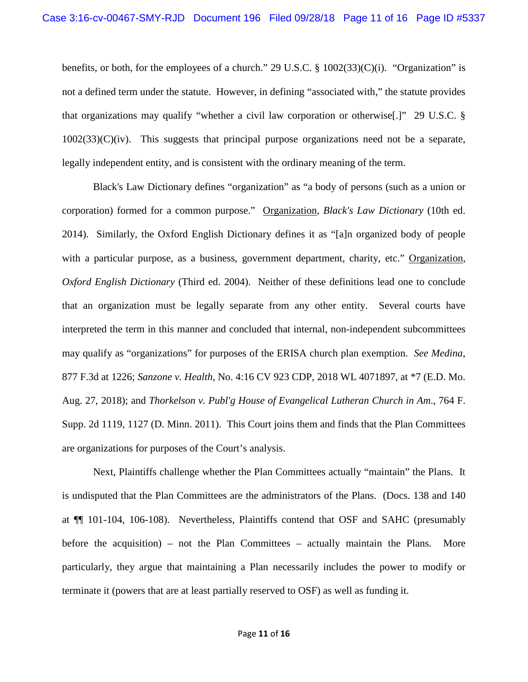benefits, or both, for the employees of a church." 29 U.S.C. § 1002(33)(C)(i). "Organization" is not a defined term under the statute. However, in defining "associated with," the statute provides that organizations may qualify "whether a civil law corporation or otherwise[.]" 29 U.S.C. §  $1002(33)(C)(iv)$ . This suggests that principal purpose organizations need not be a separate, legally independent entity, and is consistent with the ordinary meaning of the term.

Black's Law Dictionary defines "organization" as "a body of persons (such as a union or corporation) formed for a common purpose." Organization, *Black's Law Dictionary* (10th ed. 2014). Similarly, the Oxford English Dictionary defines it as "[a]n organized body of people with a particular purpose, as a business, government department, charity, etc." Organization, *Oxford English Dictionary* (Third ed. 2004). Neither of these definitions lead one to conclude that an organization must be legally separate from any other entity. Several courts have interpreted the term in this manner and concluded that internal, non-independent subcommittees may qualify as "organizations" for purposes of the ERISA church plan exemption. *See Medina*, 877 F.3d at 1226; *Sanzone v. Health*, No. 4:16 CV 923 CDP, 2018 WL 4071897, at \*7 (E.D. Mo. Aug. 27, 2018); and *Thorkelson v. Publ'g House of Evangelical Lutheran Church in Am*., 764 F. Supp. 2d 1119, 1127 (D. Minn. 2011). This Court joins them and finds that the Plan Committees are organizations for purposes of the Court's analysis.

Next, Plaintiffs challenge whether the Plan Committees actually "maintain" the Plans. It is undisputed that the Plan Committees are the administrators of the Plans. (Docs. 138 and 140 at ¶¶ 101-104, 106-108). Nevertheless, Plaintiffs contend that OSF and SAHC (presumably before the acquisition) – not the Plan Committees – actually maintain the Plans. More particularly, they argue that maintaining a Plan necessarily includes the power to modify or terminate it (powers that are at least partially reserved to OSF) as well as funding it.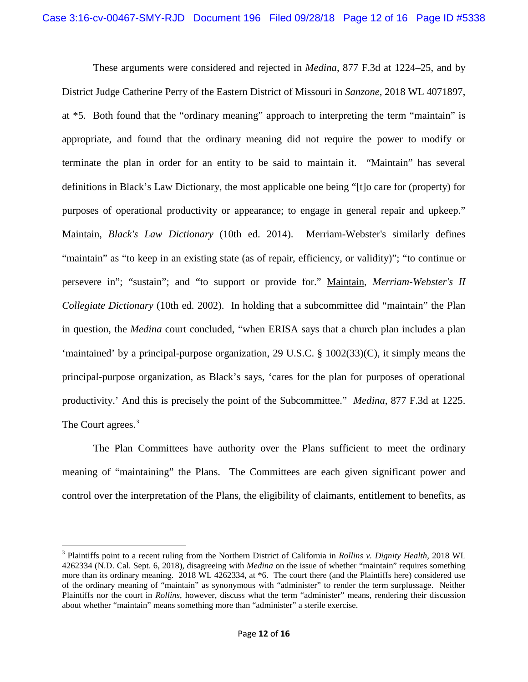These arguments were considered and rejected in *Medina*, 877 F.3d at 1224–25, and by District Judge Catherine Perry of the Eastern District of Missouri in *Sanzone,* 2018 WL 4071897, at \*5. Both found that the "ordinary meaning" approach to interpreting the term "maintain" is appropriate, and found that the ordinary meaning did not require the power to modify or terminate the plan in order for an entity to be said to maintain it. "Maintain" has several definitions in Black's Law Dictionary, the most applicable one being "[t]o care for (property) for purposes of operational productivity or appearance; to engage in general repair and upkeep." Maintain, *Black's Law Dictionary* (10th ed. 2014). Merriam-Webster's similarly defines "maintain" as "to keep in an existing state (as of repair, efficiency, or validity)"; "to continue or persevere in"; "sustain"; and "to support or provide for." Maintain, *Merriam-Webster's II Collegiate Dictionary* (10th ed. 2002). In holding that a subcommittee did "maintain" the Plan in question, the *Medina* court concluded, "when ERISA says that a church plan includes a plan 'maintained' by a principal-purpose organization, 29 U.S.C. § 1002(33)(C), it simply means the principal-purpose organization, as Black's says, 'cares for the plan for purposes of operational productivity.' And this is precisely the point of the Subcommittee." *Medina*, 877 F.3d at 1225. The Court agrees.<sup>[3](#page-11-0)</sup>

The Plan Committees have authority over the Plans sufficient to meet the ordinary meaning of "maintaining" the Plans. The Committees are each given significant power and control over the interpretation of the Plans, the eligibility of claimants, entitlement to benefits, as

<span id="page-11-0"></span><sup>3</sup> Plaintiffs point to a recent ruling from the Northern District of California in *Rollins v. Dignity Health*, 2018 WL 4262334 (N.D. Cal. Sept. 6, 2018), disagreeing with *Medina* on the issue of whether "maintain" requires something more than its ordinary meaning. 2018 WL 4262334, at  $*6$ . The court there (and the Plaintiffs here) considered use of the ordinary meaning of "maintain" as synonymous with "administer" to render the term surplussage. Neither Plaintiffs nor the court in *Rollins*, however, discuss what the term "administer" means, rendering their discussion about whether "maintain" means something more than "administer" a sterile exercise.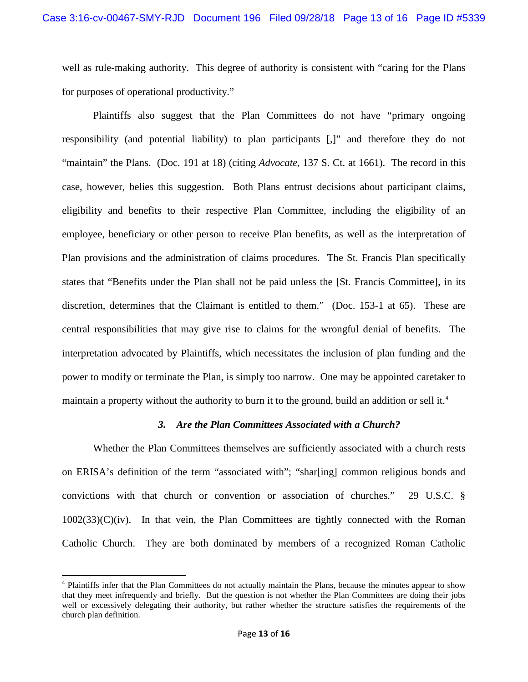well as rule-making authority. This degree of authority is consistent with "caring for the Plans for purposes of operational productivity."

Plaintiffs also suggest that the Plan Committees do not have "primary ongoing responsibility (and potential liability) to plan participants [,]" and therefore they do not "maintain" the Plans. (Doc. 191 at 18) (citing *Advocate*, 137 S. Ct. at 1661). The record in this case, however, belies this suggestion. Both Plans entrust decisions about participant claims, eligibility and benefits to their respective Plan Committee, including the eligibility of an employee, beneficiary or other person to receive Plan benefits, as well as the interpretation of Plan provisions and the administration of claims procedures. The St. Francis Plan specifically states that "Benefits under the Plan shall not be paid unless the [St. Francis Committee], in its discretion, determines that the Claimant is entitled to them." (Doc. 153-1 at 65). These are central responsibilities that may give rise to claims for the wrongful denial of benefits. The interpretation advocated by Plaintiffs, which necessitates the inclusion of plan funding and the power to modify or terminate the Plan, is simply too narrow. One may be appointed caretaker to maintain a property without the authority to burn it to the ground, build an addition or sell it.<sup>[4](#page-12-0)</sup>

### *3. Are the Plan Committees Associated with a Church?*

Whether the Plan Committees themselves are sufficiently associated with a church rests on ERISA's definition of the term "associated with"; "shar[ing] common religious bonds and convictions with that church or convention or association of churches." 29 U.S.C. §  $1002(33)(C)(iv)$ . In that vein, the Plan Committees are tightly connected with the Roman Catholic Church. They are both dominated by members of a recognized Roman Catholic

<span id="page-12-0"></span><sup>4</sup> Plaintiffs infer that the Plan Committees do not actually maintain the Plans, because the minutes appear to show that they meet infrequently and briefly. But the question is not whether the Plan Committees are doing their jobs well or excessively delegating their authority, but rather whether the structure satisfies the requirements of the church plan definition.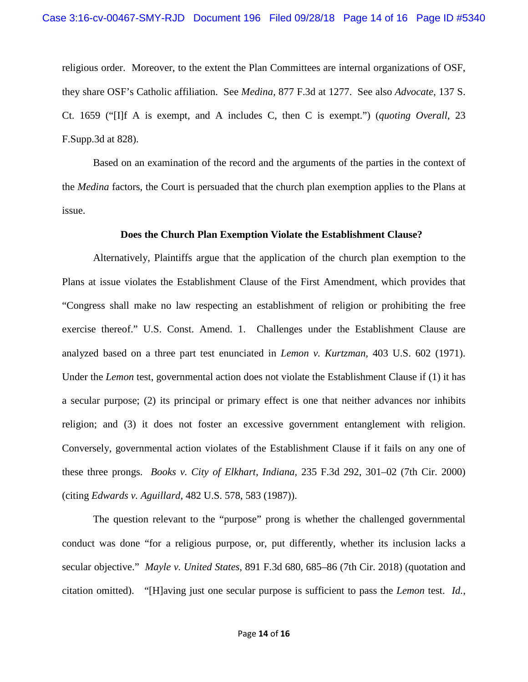religious order. Moreover, to the extent the Plan Committees are internal organizations of OSF, they share OSF's Catholic affiliation. See *Medina,* 877 F.3d at 1277. See also *Advocate*, 137 S. Ct. 1659 ("[I]f A is exempt, and A includes C, then C is exempt.") (*quoting Overall*, 23 F.Supp.3d at 828).

Based on an examination of the record and the arguments of the parties in the context of the *Medina* factors, the Court is persuaded that the church plan exemption applies to the Plans at issue.

#### **Does the Church Plan Exemption Violate the Establishment Clause?**

Alternatively, Plaintiffs argue that the application of the church plan exemption to the Plans at issue violates the Establishment Clause of the First Amendment, which provides that "Congress shall make no law respecting an establishment of religion or prohibiting the free exercise thereof." U.S. Const. Amend. 1. Challenges under the Establishment Clause are analyzed based on a three part test enunciated in *Lemon v. Kurtzman*, 403 U.S. 602 (1971). Under the *Lemon* test, governmental action does not violate the Establishment Clause if (1) it has a secular purpose; (2) its principal or primary effect is one that neither advances nor inhibits religion; and (3) it does not foster an excessive government entanglement with religion. Conversely, governmental action violates of the Establishment Clause if it fails on any one of these three prongs. *Books v. City of Elkhart, Indiana,* 235 F.3d 292, 301–02 (7th Cir. 2000) (citing *Edwards v. Aguillard*, 482 U.S. 578, 583 (1987)).

The question relevant to the "purpose" prong is whether the challenged governmental conduct was done "for a religious purpose, or, put differently, whether its inclusion lacks a secular objective." *Mayle v. United States*, 891 F.3d 680, 685–86 (7th Cir. 2018) (quotation and citation omitted). "[H]aving just one secular purpose is sufficient to pass the *Lemon* test. *Id.*,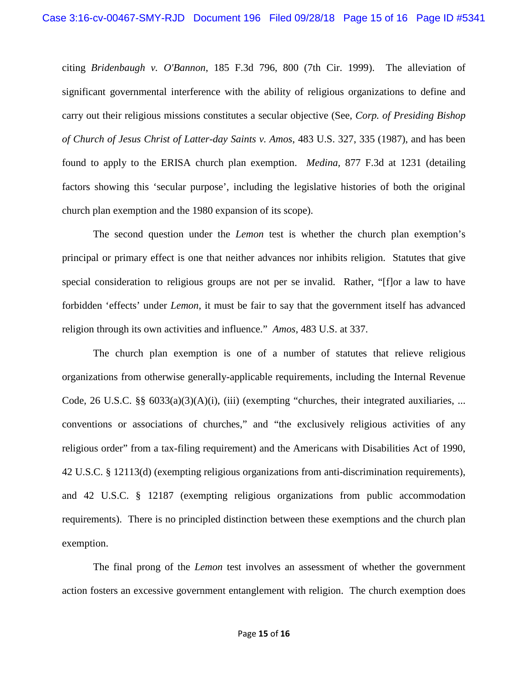citing *Bridenbaugh v. O'Bannon*, 185 F.3d 796, 800 (7th Cir. 1999). The alleviation of significant governmental interference with the ability of religious organizations to define and carry out their religious missions constitutes a secular objective (See, *Corp. of Presiding Bishop of Church of Jesus Christ of Latter-day Saints v. Amos*, 483 U.S. 327, 335 (1987), and has been found to apply to the ERISA church plan exemption. *Medina,* 877 F.3d at 1231 (detailing factors showing this 'secular purpose', including the legislative histories of both the original church plan exemption and the 1980 expansion of its scope).

The second question under the *Lemon* test is whether the church plan exemption's principal or primary effect is one that neither advances nor inhibits religion. Statutes that give special consideration to religious groups are not per se invalid. Rather, "[f]or a law to have forbidden 'effects' under *Lemon*, it must be fair to say that the government itself has advanced religion through its own activities and influence." *Amos*, 483 U.S. at 337.

The church plan exemption is one of a number of statutes that relieve religious organizations from otherwise generally-applicable requirements, including the Internal Revenue Code, 26 U.S.C. §§  $6033(a)(3)(A)(i)$ , (iii) (exempting "churches, their integrated auxiliaries, ... conventions or associations of churches," and "the exclusively religious activities of any religious order" from a tax-filing requirement) and the Americans with Disabilities Act of 1990, 42 U.S.C. § 12113(d) (exempting religious organizations from anti-discrimination requirements), and 42 U.S.C. § 12187 (exempting religious organizations from public accommodation requirements). There is no principled distinction between these exemptions and the church plan exemption.

The final prong of the *Lemon* test involves an assessment of whether the government action fosters an excessive government entanglement with religion. The church exemption does